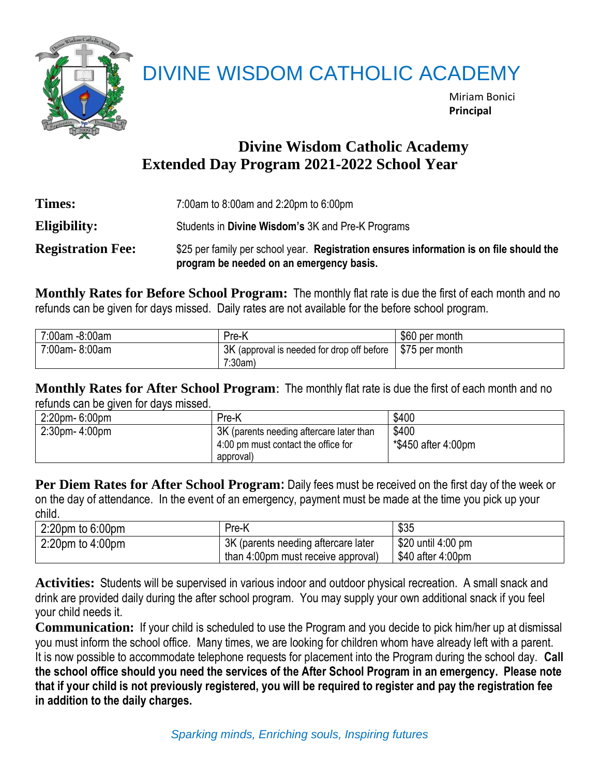

## DIVINE WISDOM CATHOLIC ACADEMY

Miriam Bonici **Principal**

## **Divine Wisdom Catholic Academy Extended Day Program 2021-2022 School Year**

| <b>Times:</b>            | 7:00am to 8:00am and 2:20pm to 6:00pm                                                                                               |
|--------------------------|-------------------------------------------------------------------------------------------------------------------------------------|
| Eligibility:             | Students in Divine Wisdom's 3K and Pre-K Programs                                                                                   |
| <b>Registration Fee:</b> | \$25 per family per school year. Registration ensures information is on file should the<br>program be needed on an emergency basis. |

**Monthly Rates for Before School Program:** The monthly flat rate is due the first of each month and no refunds can be given for days missed. Daily rates are not available for the before school program.

| 7:00am -8:00am | Pre-K                                                                                 | \$60 per month |
|----------------|---------------------------------------------------------------------------------------|----------------|
| 7:00am-8:00am  | $\frac{1}{2}$ 3K (approval is needed for drop off before $\frac{1}{2}$ \$75 per month |                |
|                | $7:30am$ )                                                                            |                |

**Monthly Rates for After School Program**: The monthly flat rate is due the first of each month and no refunds can be given for days missed.

| 2:20pm-6:00pm        | Pre-K                                                                                        | \$400                        |
|----------------------|----------------------------------------------------------------------------------------------|------------------------------|
| $2:30$ pm- $4:00$ pm | 3K (parents needing aftercare later than<br>4:00 pm must contact the office for<br>approval) | \$400<br>*\$450 after 4:00pm |

**Per Diem Rates for After School Program:** Daily fees must be received on the first day of the week or on the day of attendance. In the event of an emergency, payment must be made at the time you pick up your child.

| $2:20$ pm to 6:00pm    | Pre-K                               | \$35               |
|------------------------|-------------------------------------|--------------------|
| $2:20$ pm to $4:00$ pm | 3K (parents needing aftercare later | \$20 until 4:00 pm |
|                        | than 4:00pm must receive approval)  | \$40 after 4:00pm  |

**Activities:** Students will be supervised in various indoor and outdoor physical recreation. A small snack and drink are provided daily during the after school program. You may supply your own additional snack if you feel your child needs it.

**Communication:** If your child is scheduled to use the Program and you decide to pick him/her up at dismissal you must inform the school office. Many times, we are looking for children whom have already left with a parent. It is now possible to accommodate telephone requests for placement into the Program during the school day. **Call the school office should you need the services of the After School Program in an emergency. Please note that if your child is not previously registered, you will be required to register and pay the registration fee in addition to the daily charges.**